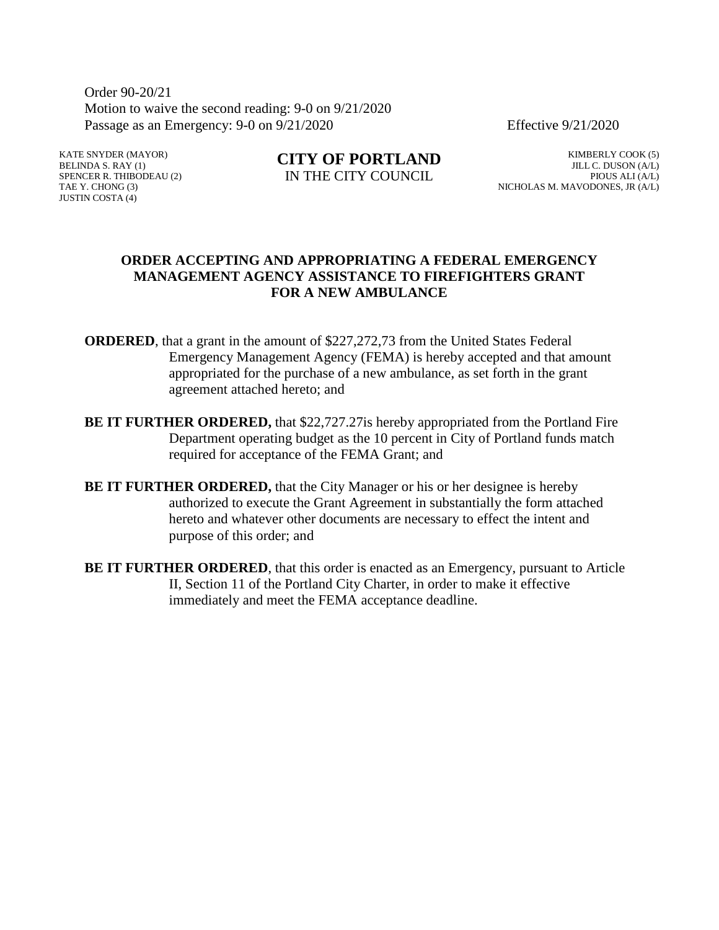Order 90-20/21 Motion to waive the second reading: 9-0 on 9/21/2020 Passage as an Emergency: 9-0 on 9/21/2020 Effective 9/21/2020

KATE SNYDER (MAYOR) BELINDA S. RAY (1) SPENCER R. THIBODEAU (2) TAE Y. CHONG (3) JUSTIN COSTA (4)

**CITY OF PORTLAND** IN THE CITY COUNCIL

KIMBERLY COOK (5) JILL C. DUSON (A/L) PIOUS ALI (A/L) NICHOLAS M. MAVODONES, JR (A/L)

#### **ORDER ACCEPTING AND APPROPRIATING A FEDERAL EMERGENCY MANAGEMENT AGENCY ASSISTANCE TO FIREFIGHTERS GRANT FOR A NEW AMBULANCE**

- **ORDERED**, that a grant in the amount of \$227,272,73 from the United States Federal Emergency Management Agency (FEMA) is hereby accepted and that amount appropriated for the purchase of a new ambulance, as set forth in the grant agreement attached hereto; and
- **BE IT FURTHER ORDERED,** that \$22,727.27 is hereby appropriated from the Portland Fire Department operating budget as the 10 percent in City of Portland funds match required for acceptance of the FEMA Grant; and
- **BE IT FURTHER ORDERED,** that the City Manager or his or her designee is hereby authorized to execute the Grant Agreement in substantially the form attached hereto and whatever other documents are necessary to effect the intent and purpose of this order; and
- **BE IT FURTHER ORDERED**, that this order is enacted as an Emergency, pursuant to Article II, Section 11 of the Portland City Charter, in order to make it effective immediately and meet the FEMA acceptance deadline.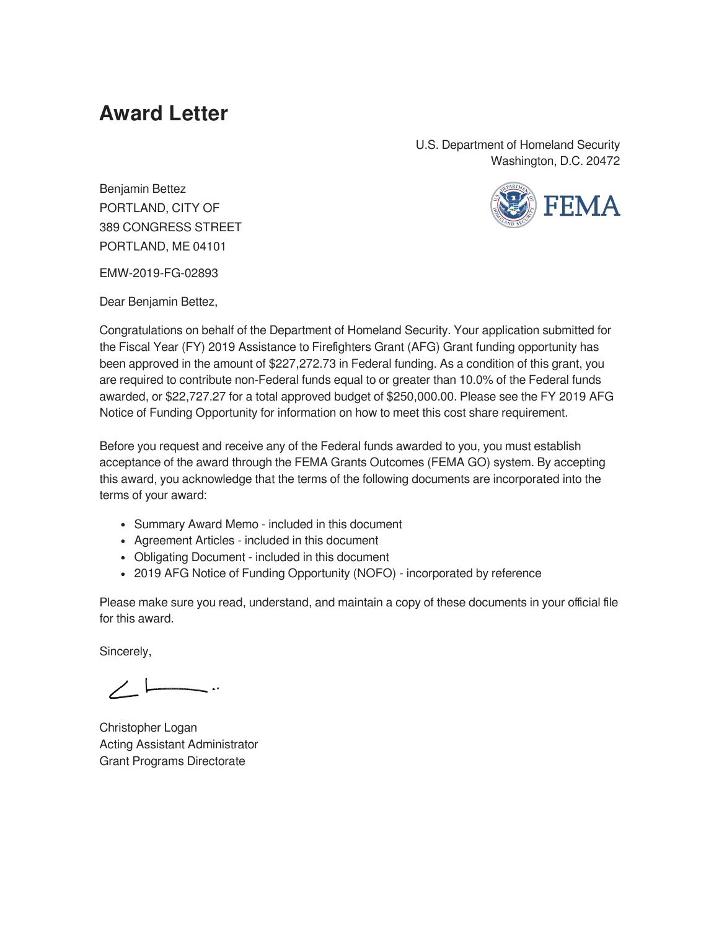## **Award Letter**

U.S. Department of Homeland Security Washington, D.C. 20472



Benjamin Bettez PORTLAND, CITY OF 389 CONGRESS STREET PORTLAND, ME 04101

EMW-2019-FG-02893

Dear Benjamin Bettez,

Congratulations on behalf of the Department of Homeland Security. Your application submitted for the Fiscal Year (FY) 2019 Assistance to Firefighters Grant (AFG) Grant funding opportunity has been approved in the amount of \$227,272.73 in Federal funding. As a condition of this grant, you are required to contribute non-Federal funds equal to or greater than 10.0% of the Federal funds awarded, or \$22,727.27 for a total approved budget of \$250,000.00. Please see the FY 2019 AFG Notice of Funding Opportunity for information on how to meet this cost share requirement.

Before you request and receive any of the Federal funds awarded to you, you must establish acceptance of the award through the FEMA Grants Outcomes (FEMA GO) system. By accepting this award, you acknowledge that the terms of the following documents are incorporated into the terms of your award:

- Summary Award Memo included in this document
- Agreement Articles included in this document
- Obligating Document included in this document
- 2019 AFG Notice of Funding Opportunity (NOFO) incorporated by reference

Please make sure you read, understand, and maintain a copy of these documents in your official file for this award.

Sincerely,

 $\diagup$   $\diagdown$ 

Christopher Logan Acting Assistant Administrator Grant Programs Directorate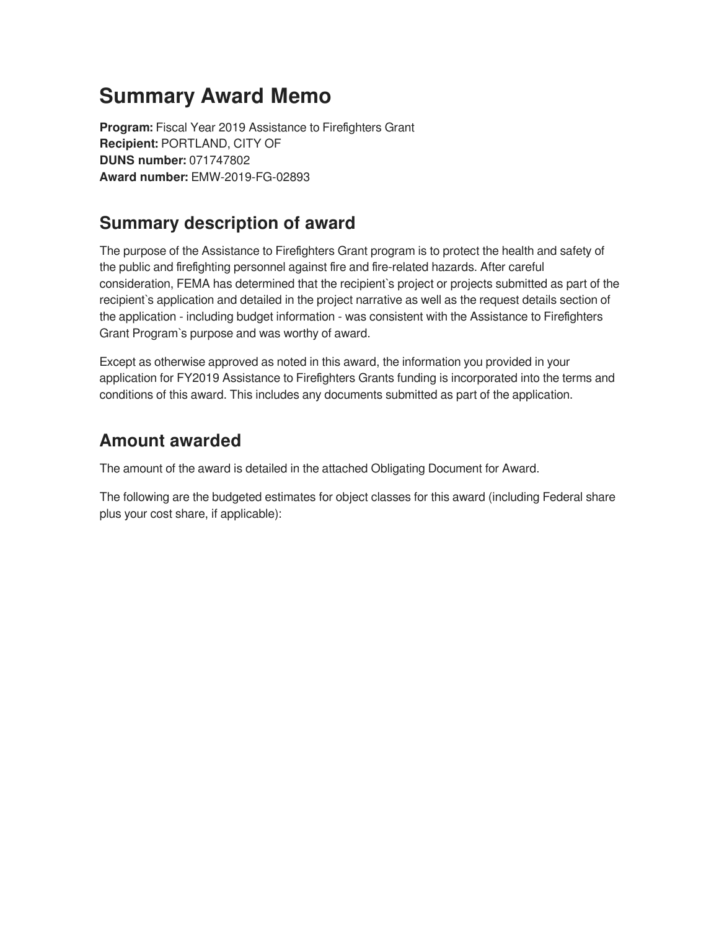## **Summary Award Memo**

**Program:** Fiscal Year 2019 Assistance to Firefighters Grant **Recipient:** PORTLAND, CITY OF **DUNS number:** 071747802 **Award number:** EMW-2019-FG-02893

### **Summary description of award**

The purpose of the Assistance to Firefighters Grant program is to protect the health and safety of the public and firefighting personnel against fire and fire-related hazards. After careful consideration, FEMA has determined that the recipient`s project or projects submitted as part of the recipient`s application and detailed in the project narrative as well as the request details section of the application - including budget information - was consistent with the Assistance to Firefighters Grant Program`s purpose and was worthy of award.

Except as otherwise approved as noted in this award, the information you provided in your application for FY2019 Assistance to Firefighters Grants funding is incorporated into the terms and conditions of this award. This includes any documents submitted as part of the application.

### **Amount awarded**

The amount of the award is detailed in the attached Obligating Document for Award.

The following are the budgeted estimates for object classes for this award (including Federal share plus your cost share, if applicable):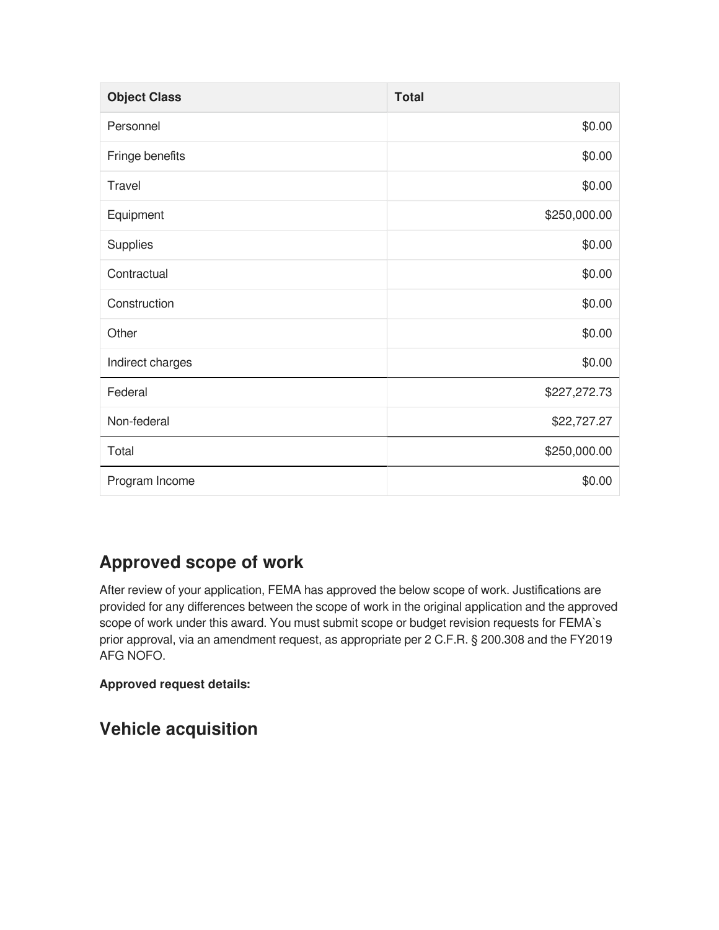| <b>Object Class</b> | <b>Total</b> |
|---------------------|--------------|
| Personnel           | \$0.00       |
| Fringe benefits     | \$0.00       |
| <b>Travel</b>       | \$0.00       |
| Equipment           | \$250,000.00 |
| Supplies            | \$0.00       |
| Contractual         | \$0.00       |
| Construction        | \$0.00       |
| Other               | \$0.00       |
| Indirect charges    | \$0.00       |
| Federal             | \$227,272.73 |
| Non-federal         | \$22,727.27  |
| Total               | \$250,000.00 |
| Program Income      | \$0.00       |

## **Approved scope of work**

After review of your application, FEMA has approved the below scope of work. Justifications are provided for any differences between the scope of work in the original application and the approved scope of work under this award. You must submit scope or budget revision requests for FEMA`s prior approval, via an amendment request, as appropriate per 2 C.F.R. § 200.308 and the FY2019 AFG NOFO.

#### **Approved request details:**

## **Vehicle acquisition**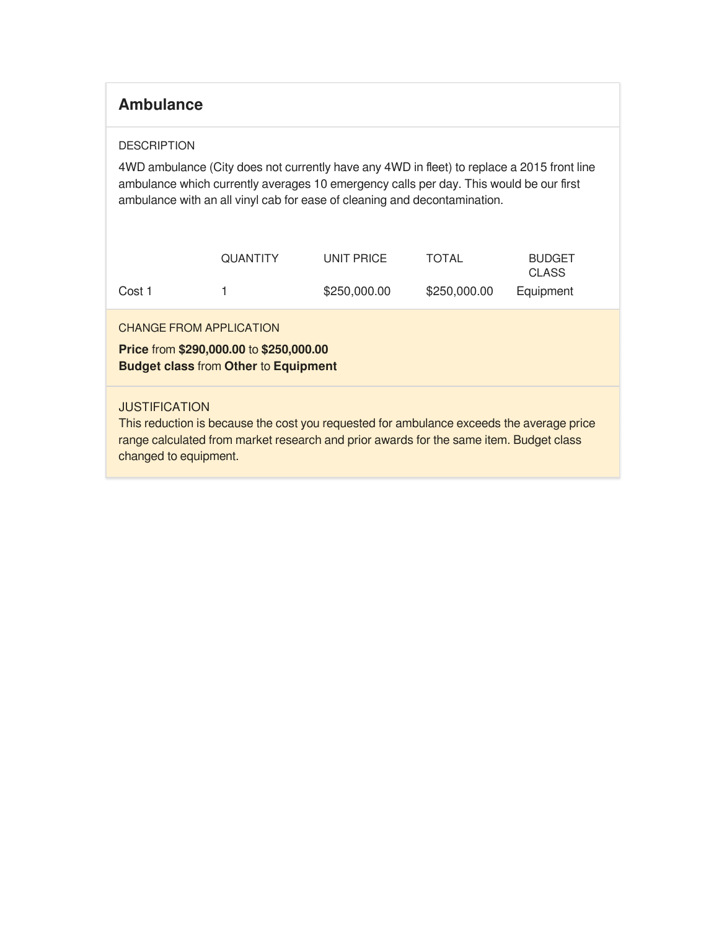### **Ambulance**

#### **DESCRIPTION**

4WD ambulance (City does not currently have any 4WD in fleet) to replace a 2015 front line ambulance which currently averages 10 emergency calls per day. This would be our first ambulance with an all vinyl cab for ease of cleaning and decontamination.

|        | <b>QUANTITY</b> | UNIT PRICE   | <b>TOTAL</b> | <b>BUDGET</b><br><b>CLASS</b> |
|--------|-----------------|--------------|--------------|-------------------------------|
| Cost 1 |                 | \$250,000.00 | \$250,000.00 | Equipment                     |

CHANGE FROM APPLICATION

**Price** from **\$290,000.00** to **\$250,000.00 Budget class** from **Other** to **Equipment**

#### **JUSTIFICATION**

This reduction is because the cost you requested for ambulance exceeds the average price range calculated from market research and prior awards for the same item. Budget class changed to equipment.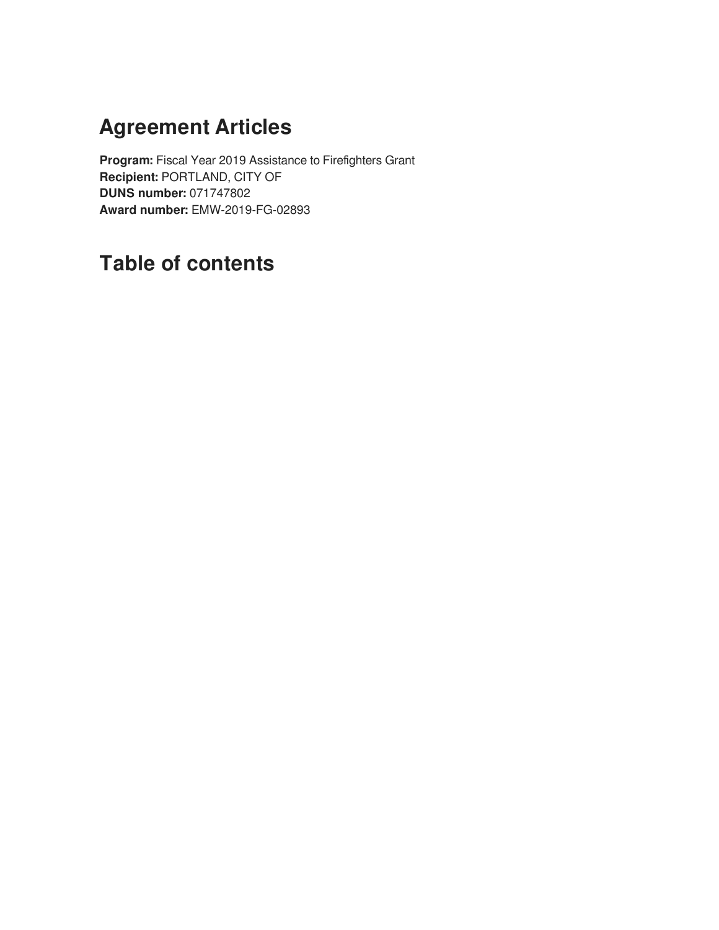# **Agreement Articles**

**Program:** Fiscal Year 2019 Assistance to Firefighters Grant **Recipient:** PORTLAND, CITY OF **DUNS number:** 071747802 **Award number:** EMW-2019-FG-02893

## **Table of contents**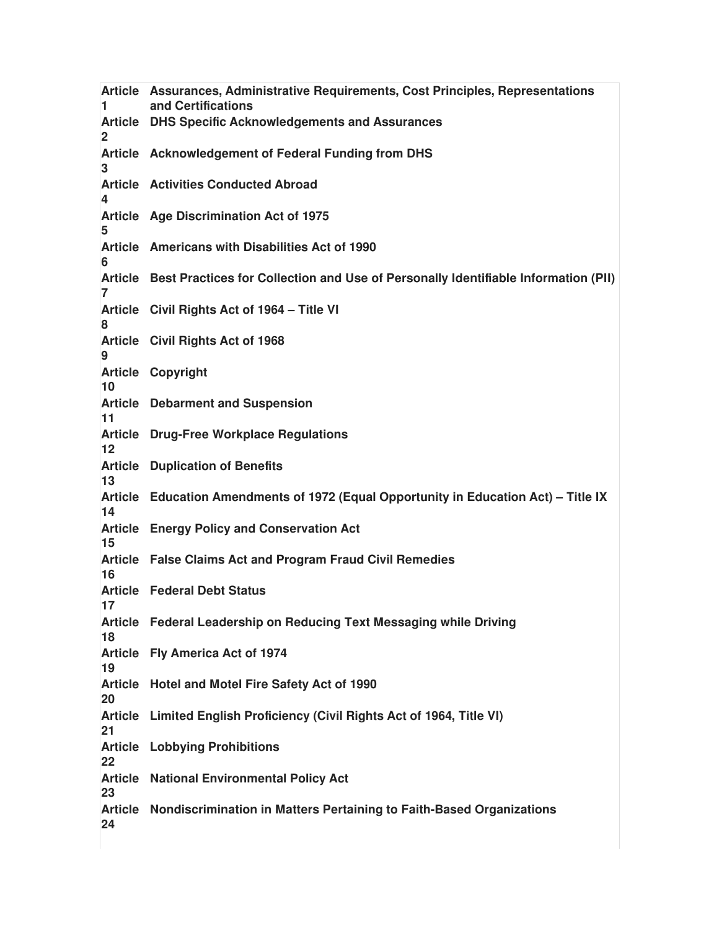**Article Assurances, Administrative Requirements, Cost Principles, Representations 1 and Certifications Article DHS Specific Acknowledgements and Assurances 2 Article Acknowledgement of Federal Funding from DHS 3 Article Activities Conducted Abroad 4 Article Age Discrimination Act of 1975 5 Article Americans with Disabilities Act of 1990 6 Article Best Practices for Collection and Use of Personally Identifiable Information (PII) 7 Article Civil Rights Act of 1964 – Title VI 8 Article Civil Rights Act of 1968 9 Article Copyright 10 Article Debarment and Suspension 11 Article Drug-Free Workplace Regulations 12 Article Duplication of Benefits 13 Article Education Amendments of 1972 (Equal Opportunity in Education Act) – Title IX 14 Article Energy Policy and Conservation Act 15 Article False Claims Act and Program Fraud Civil Remedies 16 Article Federal Debt Status 17 Article Federal Leadership on Reducing Text Messaging while Driving 18 Article Fly America Act of 1974 19 Article Hotel and Motel Fire Safety Act of 1990 20 Article Limited English Proficiency (Civil Rights Act of 1964, Title VI) 21 Article Lobbying Prohibitions 22 Article National Environmental Policy Act 23 Article Nondiscrimination in Matters Pertaining to Faith-Based Organizations24**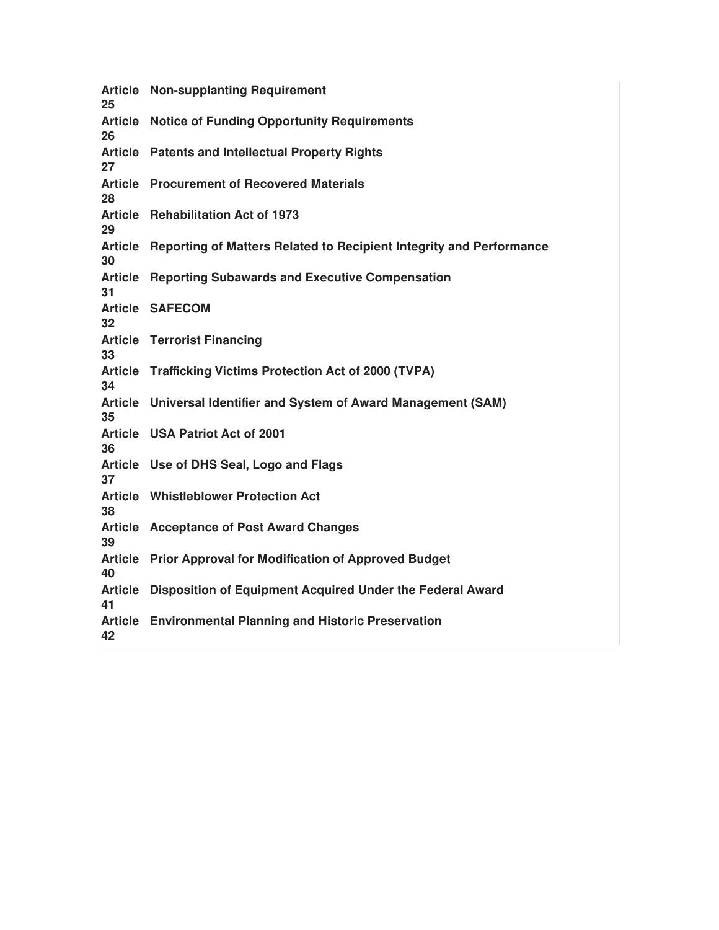| 25 | <b>Article Non-supplanting Requirement</b>                                  |
|----|-----------------------------------------------------------------------------|
| 26 | <b>Article Notice of Funding Opportunity Requirements</b>                   |
| 27 | <b>Article</b> Patents and Intellectual Property Rights                     |
| 28 | <b>Article</b> Procurement of Recovered Materials                           |
| 29 | Article Rehabilitation Act of 1973                                          |
| 30 | Article Reporting of Matters Related to Recipient Integrity and Performance |
| 31 | <b>Article Reporting Subawards and Executive Compensation</b>               |
| 32 | <b>Article SAFECOM</b>                                                      |
| 33 | <b>Article Terrorist Financing</b>                                          |
| 34 | Article Trafficking Victims Protection Act of 2000 (TVPA)                   |
| 35 | Article Universal Identifier and System of Award Management (SAM)           |
| 36 | Article USA Patriot Act of 2001                                             |
| 37 | Article Use of DHS Seal, Logo and Flags                                     |
| 38 | <b>Article Whistleblower Protection Act</b>                                 |
| 39 | <b>Article Acceptance of Post Award Changes</b>                             |
| 40 | Article Prior Approval for Modification of Approved Budget                  |
| 41 | Article Disposition of Equipment Acquired Under the Federal Award           |
| 42 | <b>Article</b> Environmental Planning and Historic Preservation             |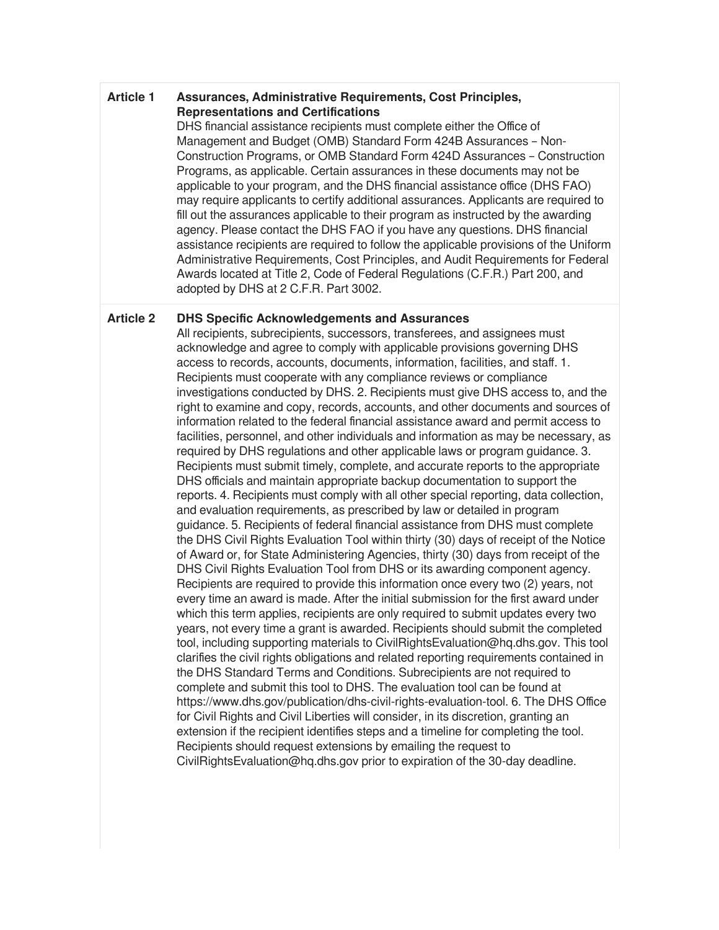#### **Article 1 Assurances, Administrative Requirements, Cost Principles, Representations and Certifications**

DHS financial assistance recipients must complete either the Office of Management and Budget (OMB) Standard Form 424B Assurances – Non-Construction Programs, or OMB Standard Form 424D Assurances – Construction Programs, as applicable. Certain assurances in these documents may not be applicable to your program, and the DHS financial assistance office (DHS FAO) may require applicants to certify additional assurances. Applicants are required to fill out the assurances applicable to their program as instructed by the awarding agency. Please contact the DHS FAO if you have any questions. DHS financial assistance recipients are required to follow the applicable provisions of the Uniform Administrative Requirements, Cost Principles, and Audit Requirements for Federal Awards located at Title 2, Code of Federal Regulations (C.F.R.) Part 200, and adopted by DHS at 2 C.F.R. Part 3002.

#### **Article 2 DHS Specific Acknowledgements and Assurances**

All recipients, subrecipients, successors, transferees, and assignees must acknowledge and agree to comply with applicable provisions governing DHS access to records, accounts, documents, information, facilities, and staff. 1. Recipients must cooperate with any compliance reviews or compliance investigations conducted by DHS. 2. Recipients must give DHS access to, and the right to examine and copy, records, accounts, and other documents and sources of information related to the federal financial assistance award and permit access to facilities, personnel, and other individuals and information as may be necessary, as required by DHS regulations and other applicable laws or program guidance. 3. Recipients must submit timely, complete, and accurate reports to the appropriate DHS officials and maintain appropriate backup documentation to support the reports. 4. Recipients must comply with all other special reporting, data collection, and evaluation requirements, as prescribed by law or detailed in program guidance. 5. Recipients of federal financial assistance from DHS must complete the DHS Civil Rights Evaluation Tool within thirty (30) days of receipt of the Notice of Award or, for State Administering Agencies, thirty (30) days from receipt of the DHS Civil Rights Evaluation Tool from DHS or its awarding component agency. Recipients are required to provide this information once every two (2) years, not every time an award is made. After the initial submission for the first award under which this term applies, recipients are only required to submit updates every two years, not every time a grant is awarded. Recipients should submit the completed tool, including supporting materials to CivilRightsEvaluation@hq.dhs.gov. This tool clarifies the civil rights obligations and related reporting requirements contained in the DHS Standard Terms and Conditions. Subrecipients are not required to complete and submit this tool to DHS. The evaluation tool can be found at https://www.dhs.gov/publication/dhs-civil-rights-evaluation-tool. 6. The DHS Office for Civil Rights and Civil Liberties will consider, in its discretion, granting an extension if the recipient identifies steps and a timeline for completing the tool. Recipients should request extensions by emailing the request to CivilRightsEvaluation@hq.dhs.gov prior to expiration of the 30-day deadline.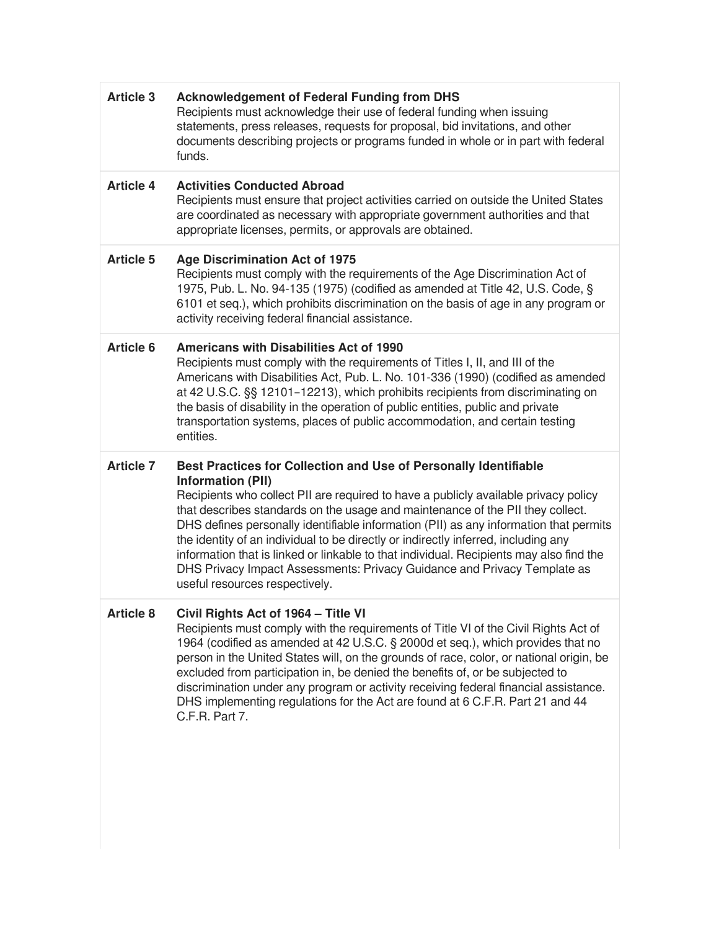| <b>Article 3</b> | <b>Acknowledgement of Federal Funding from DHS</b><br>Recipients must acknowledge their use of federal funding when issuing<br>statements, press releases, requests for proposal, bid invitations, and other<br>documents describing projects or programs funded in whole or in part with federal<br>funds.                                                                                                                                                                                                                                                                                                                                                   |
|------------------|---------------------------------------------------------------------------------------------------------------------------------------------------------------------------------------------------------------------------------------------------------------------------------------------------------------------------------------------------------------------------------------------------------------------------------------------------------------------------------------------------------------------------------------------------------------------------------------------------------------------------------------------------------------|
| <b>Article 4</b> | <b>Activities Conducted Abroad</b><br>Recipients must ensure that project activities carried on outside the United States<br>are coordinated as necessary with appropriate government authorities and that<br>appropriate licenses, permits, or approvals are obtained.                                                                                                                                                                                                                                                                                                                                                                                       |
| <b>Article 5</b> | <b>Age Discrimination Act of 1975</b><br>Recipients must comply with the requirements of the Age Discrimination Act of<br>1975, Pub. L. No. 94-135 (1975) (codified as amended at Title 42, U.S. Code, §<br>6101 et seq.), which prohibits discrimination on the basis of age in any program or<br>activity receiving federal financial assistance.                                                                                                                                                                                                                                                                                                           |
| <b>Article 6</b> | <b>Americans with Disabilities Act of 1990</b><br>Recipients must comply with the requirements of Titles I, II, and III of the<br>Americans with Disabilities Act, Pub. L. No. 101-336 (1990) (codified as amended<br>at 42 U.S.C. §§ 12101-12213), which prohibits recipients from discriminating on<br>the basis of disability in the operation of public entities, public and private<br>transportation systems, places of public accommodation, and certain testing<br>entities.                                                                                                                                                                          |
|                  |                                                                                                                                                                                                                                                                                                                                                                                                                                                                                                                                                                                                                                                               |
| <b>Article 7</b> | Best Practices for Collection and Use of Personally Identifiable<br><b>Information (PII)</b><br>Recipients who collect PII are required to have a publicly available privacy policy<br>that describes standards on the usage and maintenance of the PII they collect.<br>DHS defines personally identifiable information (PII) as any information that permits<br>the identity of an individual to be directly or indirectly inferred, including any<br>information that is linked or linkable to that individual. Recipients may also find the<br>DHS Privacy Impact Assessments: Privacy Guidance and Privacy Template as<br>useful resources respectively. |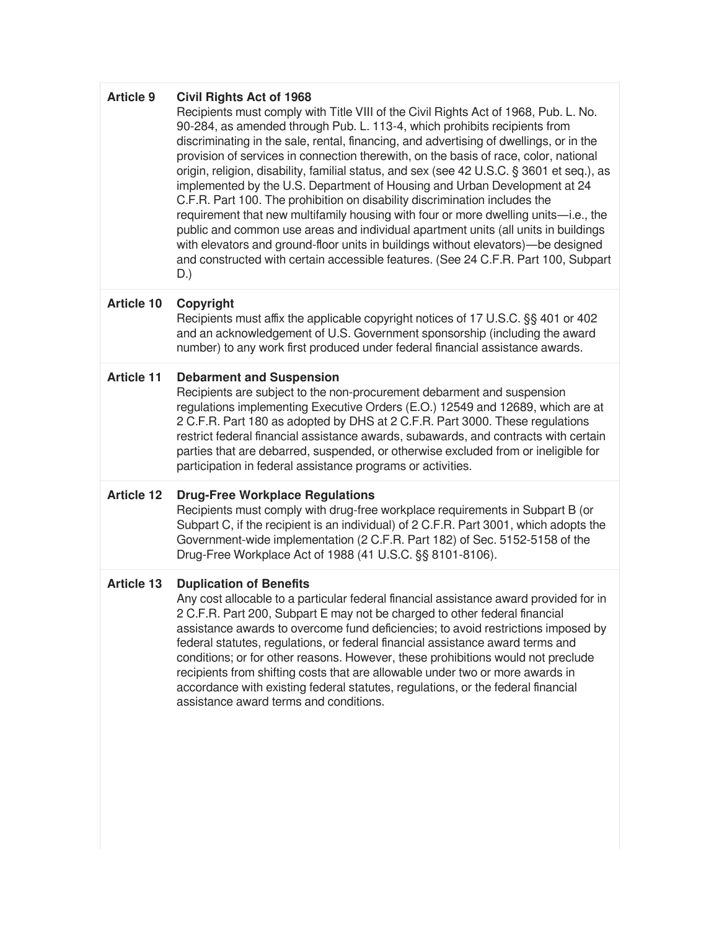| <b>Article 9</b>  | <b>Civil Rights Act of 1968</b><br>Recipients must comply with Title VIII of the Civil Rights Act of 1968, Pub. L. No.<br>90-284, as amended through Pub. L. 113-4, which prohibits recipients from<br>discriminating in the sale, rental, financing, and advertising of dwellings, or in the<br>provision of services in connection therewith, on the basis of race, color, national<br>origin, religion, disability, familial status, and sex (see 42 U.S.C. § 3601 et seq.), as<br>implemented by the U.S. Department of Housing and Urban Development at 24<br>C.F.R. Part 100. The prohibition on disability discrimination includes the<br>requirement that new multifamily housing with four or more dwelling units-i.e., the<br>public and common use areas and individual apartment units (all units in buildings<br>with elevators and ground-floor units in buildings without elevators)-be designed<br>and constructed with certain accessible features. (See 24 C.F.R. Part 100, Subpart<br>D.) |
|-------------------|--------------------------------------------------------------------------------------------------------------------------------------------------------------------------------------------------------------------------------------------------------------------------------------------------------------------------------------------------------------------------------------------------------------------------------------------------------------------------------------------------------------------------------------------------------------------------------------------------------------------------------------------------------------------------------------------------------------------------------------------------------------------------------------------------------------------------------------------------------------------------------------------------------------------------------------------------------------------------------------------------------------|
| <b>Article 10</b> | Copyright<br>Recipients must affix the applicable copyright notices of 17 U.S.C. §§ 401 or 402<br>and an acknowledgement of U.S. Government sponsorship (including the award<br>number) to any work first produced under federal financial assistance awards.                                                                                                                                                                                                                                                                                                                                                                                                                                                                                                                                                                                                                                                                                                                                                |
| <b>Article 11</b> | <b>Debarment and Suspension</b><br>Recipients are subject to the non-procurement debarment and suspension<br>regulations implementing Executive Orders (E.O.) 12549 and 12689, which are at<br>2 C.F.R. Part 180 as adopted by DHS at 2 C.F.R. Part 3000. These regulations<br>restrict federal financial assistance awards, subawards, and contracts with certain<br>parties that are debarred, suspended, or otherwise excluded from or ineligible for<br>participation in federal assistance programs or activities.                                                                                                                                                                                                                                                                                                                                                                                                                                                                                      |
| <b>Article 12</b> | <b>Drug-Free Workplace Regulations</b><br>Recipients must comply with drug-free workplace requirements in Subpart B (or<br>Subpart C, if the recipient is an individual) of 2 C.F.R. Part 3001, which adopts the<br>Government-wide implementation (2 C.F.R. Part 182) of Sec. 5152-5158 of the<br>Drug-Free Workplace Act of 1988 (41 U.S.C. §§ 8101-8106).                                                                                                                                                                                                                                                                                                                                                                                                                                                                                                                                                                                                                                                 |
| <b>Article 13</b> | <b>Duplication of Benefits</b><br>Any cost allocable to a particular federal financial assistance award provided for in<br>2 C.F.R. Part 200, Subpart E may not be charged to other federal financial<br>assistance awards to overcome fund deficiencies; to avoid restrictions imposed by<br>federal statutes, regulations, or federal financial assistance award terms and<br>conditions; or for other reasons. However, these prohibitions would not preclude<br>recipients from shifting costs that are allowable under two or more awards in<br>accordance with existing federal statutes, regulations, or the federal financial<br>assistance award terms and conditions.                                                                                                                                                                                                                                                                                                                              |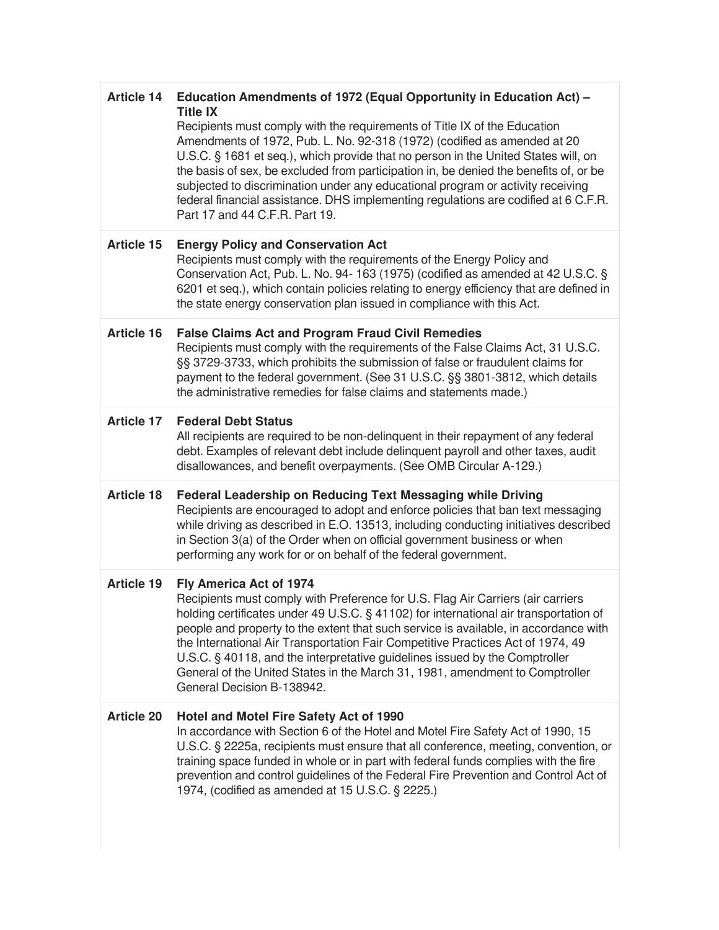| <b>Article 14</b> | Education Amendments of 1972 (Equal Opportunity in Education Act) -<br><b>Title IX</b><br>Recipients must comply with the requirements of Title IX of the Education<br>Amendments of 1972, Pub. L. No. 92-318 (1972) (codified as amended at 20<br>U.S.C. § 1681 et seq.), which provide that no person in the United States will, on<br>the basis of sex, be excluded from participation in, be denied the benefits of, or be<br>subjected to discrimination under any educational program or activity receiving<br>federal financial assistance. DHS implementing regulations are codified at 6 C.F.R.<br>Part 17 and 44 C.F.R. Part 19. |
|-------------------|--------------------------------------------------------------------------------------------------------------------------------------------------------------------------------------------------------------------------------------------------------------------------------------------------------------------------------------------------------------------------------------------------------------------------------------------------------------------------------------------------------------------------------------------------------------------------------------------------------------------------------------------|
| Article 15        | <b>Energy Policy and Conservation Act</b><br>Recipients must comply with the requirements of the Energy Policy and<br>Conservation Act, Pub. L. No. 94- 163 (1975) (codified as amended at 42 U.S.C. §<br>6201 et seq.), which contain policies relating to energy efficiency that are defined in<br>the state energy conservation plan issued in compliance with this Act.                                                                                                                                                                                                                                                                |
| <b>Article 16</b> | <b>False Claims Act and Program Fraud Civil Remedies</b><br>Recipients must comply with the requirements of the False Claims Act, 31 U.S.C.<br>§§ 3729-3733, which prohibits the submission of false or fraudulent claims for<br>payment to the federal government. (See 31 U.S.C. §§ 3801-3812, which details<br>the administrative remedies for false claims and statements made.)                                                                                                                                                                                                                                                       |
| <b>Article 17</b> | <b>Federal Debt Status</b><br>All recipients are required to be non-delinquent in their repayment of any federal<br>debt. Examples of relevant debt include delinquent payroll and other taxes, audit<br>disallowances, and benefit overpayments. (See OMB Circular A-129.)                                                                                                                                                                                                                                                                                                                                                                |
| <b>Article 18</b> | <b>Federal Leadership on Reducing Text Messaging while Driving</b><br>Recipients are encouraged to adopt and enforce policies that ban text messaging<br>while driving as described in E.O. 13513, including conducting initiatives described<br>in Section 3(a) of the Order when on official government business or when<br>performing any work for or on behalf of the federal government.                                                                                                                                                                                                                                              |
| <b>Article 19</b> | Fly America Act of 1974<br>Recipients must comply with Preference for U.S. Flag Air Carriers (air carriers<br>holding certificates under 49 U.S.C. § 41102) for international air transportation of<br>people and property to the extent that such service is available, in accordance with<br>the International Air Transportation Fair Competitive Practices Act of 1974, 49<br>U.S.C. § 40118, and the interpretative guidelines issued by the Comptroller<br>General of the United States in the March 31, 1981, amendment to Comptroller<br>General Decision B-138942.                                                                |
| <b>Article 20</b> | Hotel and Motel Fire Safety Act of 1990<br>In accordance with Section 6 of the Hotel and Motel Fire Safety Act of 1990, 15<br>U.S.C. § 2225a, recipients must ensure that all conference, meeting, convention, or<br>training space funded in whole or in part with federal funds complies with the fire<br>prevention and control guidelines of the Federal Fire Prevention and Control Act of<br>1974, (codified as amended at 15 U.S.C. § 2225.)                                                                                                                                                                                        |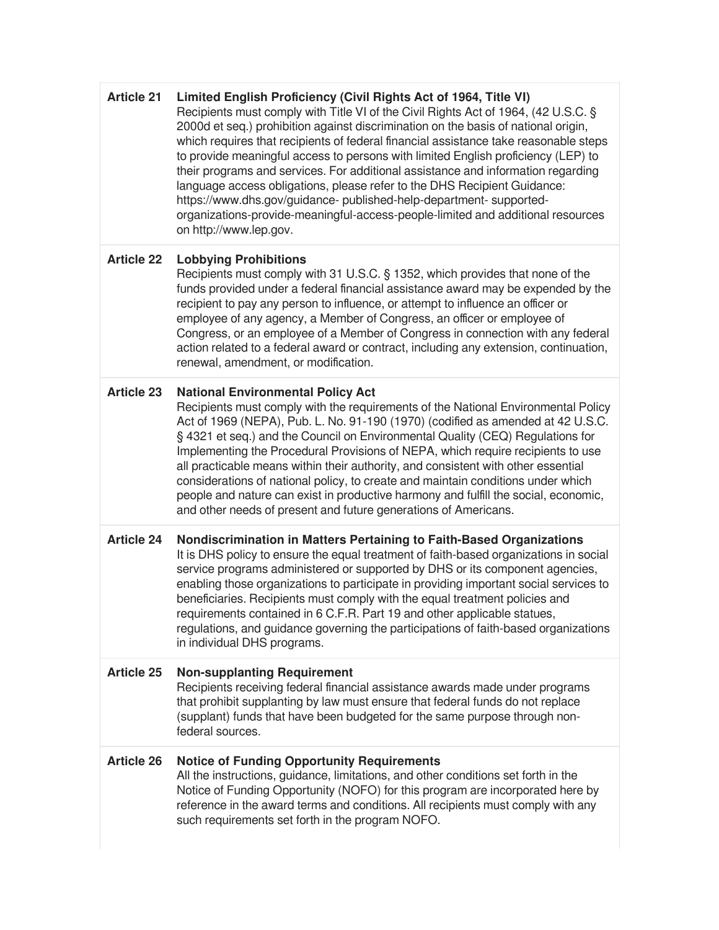| <b>Article 21</b> | Limited English Proficiency (Civil Rights Act of 1964, Title VI)<br>Recipients must comply with Title VI of the Civil Rights Act of 1964, (42 U.S.C. §<br>2000d et seq.) prohibition against discrimination on the basis of national origin,<br>which requires that recipients of federal financial assistance take reasonable steps<br>to provide meaningful access to persons with limited English proficiency (LEP) to<br>their programs and services. For additional assistance and information regarding<br>language access obligations, please refer to the DHS Recipient Guidance:<br>https://www.dhs.gov/guidance- published-help-department- supported-<br>organizations-provide-meaningful-access-people-limited and additional resources<br>on http://www.lep.gov. |
|-------------------|-------------------------------------------------------------------------------------------------------------------------------------------------------------------------------------------------------------------------------------------------------------------------------------------------------------------------------------------------------------------------------------------------------------------------------------------------------------------------------------------------------------------------------------------------------------------------------------------------------------------------------------------------------------------------------------------------------------------------------------------------------------------------------|
| <b>Article 22</b> | <b>Lobbying Prohibitions</b><br>Recipients must comply with 31 U.S.C. § 1352, which provides that none of the<br>funds provided under a federal financial assistance award may be expended by the<br>recipient to pay any person to influence, or attempt to influence an officer or<br>employee of any agency, a Member of Congress, an officer or employee of<br>Congress, or an employee of a Member of Congress in connection with any federal<br>action related to a federal award or contract, including any extension, continuation,<br>renewal, amendment, or modification.                                                                                                                                                                                           |
| <b>Article 23</b> | <b>National Environmental Policy Act</b><br>Recipients must comply with the requirements of the National Environmental Policy<br>Act of 1969 (NEPA), Pub. L. No. 91-190 (1970) (codified as amended at 42 U.S.C.<br>§ 4321 et seq.) and the Council on Environmental Quality (CEQ) Regulations for<br>Implementing the Procedural Provisions of NEPA, which require recipients to use<br>all practicable means within their authority, and consistent with other essential<br>considerations of national policy, to create and maintain conditions under which<br>people and nature can exist in productive harmony and fulfill the social, economic,<br>and other needs of present and future generations of Americans.                                                      |
| <b>Article 24</b> | Nondiscrimination in Matters Pertaining to Faith-Based Organizations<br>It is DHS policy to ensure the equal treatment of faith-based organizations in social<br>service programs administered or supported by DHS or its component agencies,<br>enabling those organizations to participate in providing important social services to<br>beneficiaries. Recipients must comply with the equal treatment policies and<br>requirements contained in 6 C.F.R. Part 19 and other applicable statues,<br>regulations, and guidance governing the participations of faith-based organizations<br>in individual DHS programs.                                                                                                                                                       |
| <b>Article 25</b> | <b>Non-supplanting Requirement</b><br>Recipients receiving federal financial assistance awards made under programs<br>that prohibit supplanting by law must ensure that federal funds do not replace<br>(supplant) funds that have been budgeted for the same purpose through non-<br>federal sources.                                                                                                                                                                                                                                                                                                                                                                                                                                                                        |
| <b>Article 26</b> | <b>Notice of Funding Opportunity Requirements</b><br>All the instructions, guidance, limitations, and other conditions set forth in the<br>Notice of Funding Opportunity (NOFO) for this program are incorporated here by<br>reference in the award terms and conditions. All recipients must comply with any<br>such requirements set forth in the program NOFO.                                                                                                                                                                                                                                                                                                                                                                                                             |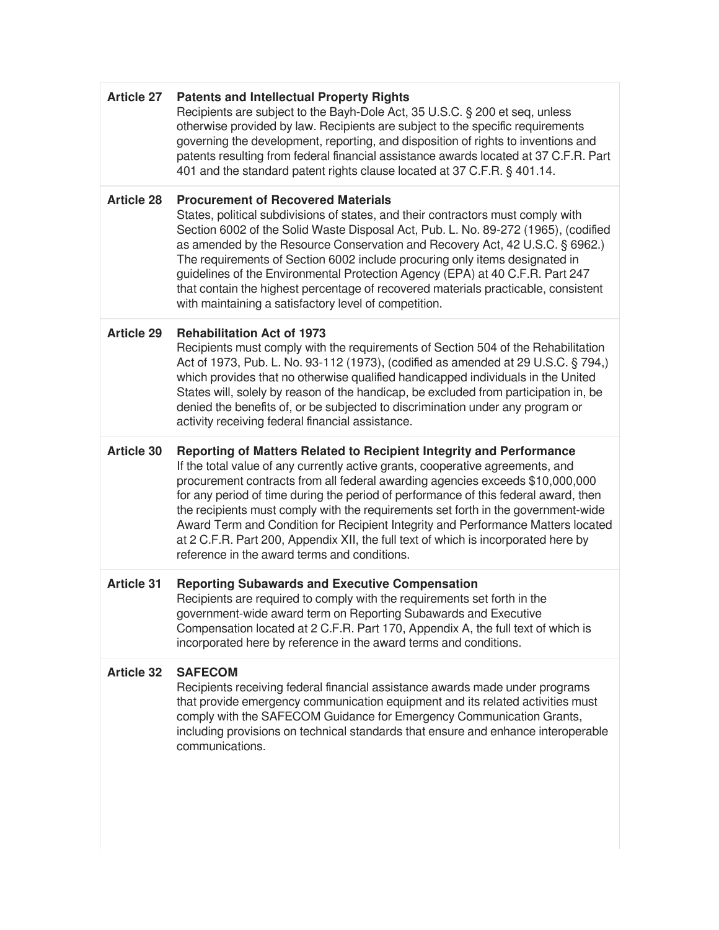| <b>Article 27</b> | <b>Patents and Intellectual Property Rights</b><br>Recipients are subject to the Bayh-Dole Act, 35 U.S.C. § 200 et seq, unless<br>otherwise provided by law. Recipients are subject to the specific requirements<br>governing the development, reporting, and disposition of rights to inventions and<br>patents resulting from federal financial assistance awards located at 37 C.F.R. Part<br>401 and the standard patent rights clause located at 37 C.F.R. § 401.14.                                                                                                                                                                    |
|-------------------|----------------------------------------------------------------------------------------------------------------------------------------------------------------------------------------------------------------------------------------------------------------------------------------------------------------------------------------------------------------------------------------------------------------------------------------------------------------------------------------------------------------------------------------------------------------------------------------------------------------------------------------------|
| <b>Article 28</b> | <b>Procurement of Recovered Materials</b><br>States, political subdivisions of states, and their contractors must comply with<br>Section 6002 of the Solid Waste Disposal Act, Pub. L. No. 89-272 (1965), (codified<br>as amended by the Resource Conservation and Recovery Act, 42 U.S.C. § 6962.)<br>The requirements of Section 6002 include procuring only items designated in<br>guidelines of the Environmental Protection Agency (EPA) at 40 C.F.R. Part 247<br>that contain the highest percentage of recovered materials practicable, consistent<br>with maintaining a satisfactory level of competition.                           |
| <b>Article 29</b> | <b>Rehabilitation Act of 1973</b><br>Recipients must comply with the requirements of Section 504 of the Rehabilitation<br>Act of 1973, Pub. L. No. 93-112 (1973), (codified as amended at 29 U.S.C. § 794,)<br>which provides that no otherwise qualified handicapped individuals in the United<br>States will, solely by reason of the handicap, be excluded from participation in, be<br>denied the benefits of, or be subjected to discrimination under any program or<br>activity receiving federal financial assistance.                                                                                                                |
| <b>Article 30</b> | Reporting of Matters Related to Recipient Integrity and Performance<br>If the total value of any currently active grants, cooperative agreements, and<br>procurement contracts from all federal awarding agencies exceeds \$10,000,000<br>for any period of time during the period of performance of this federal award, then<br>the recipients must comply with the requirements set forth in the government-wide<br>Award Term and Condition for Recipient Integrity and Performance Matters located<br>at 2 C.F.R. Part 200, Appendix XII, the full text of which is incorporated here by<br>reference in the award terms and conditions. |
| <b>Article 31</b> | <b>Reporting Subawards and Executive Compensation</b><br>Recipients are required to comply with the requirements set forth in the<br>government-wide award term on Reporting Subawards and Executive<br>Compensation located at 2 C.F.R. Part 170, Appendix A, the full text of which is<br>incorporated here by reference in the award terms and conditions.                                                                                                                                                                                                                                                                                |
| <b>Article 32</b> | <b>SAFECOM</b><br>Recipients receiving federal financial assistance awards made under programs<br>that provide emergency communication equipment and its related activities must<br>comply with the SAFECOM Guidance for Emergency Communication Grants,<br>including provisions on technical standards that ensure and enhance interoperable<br>communications.                                                                                                                                                                                                                                                                             |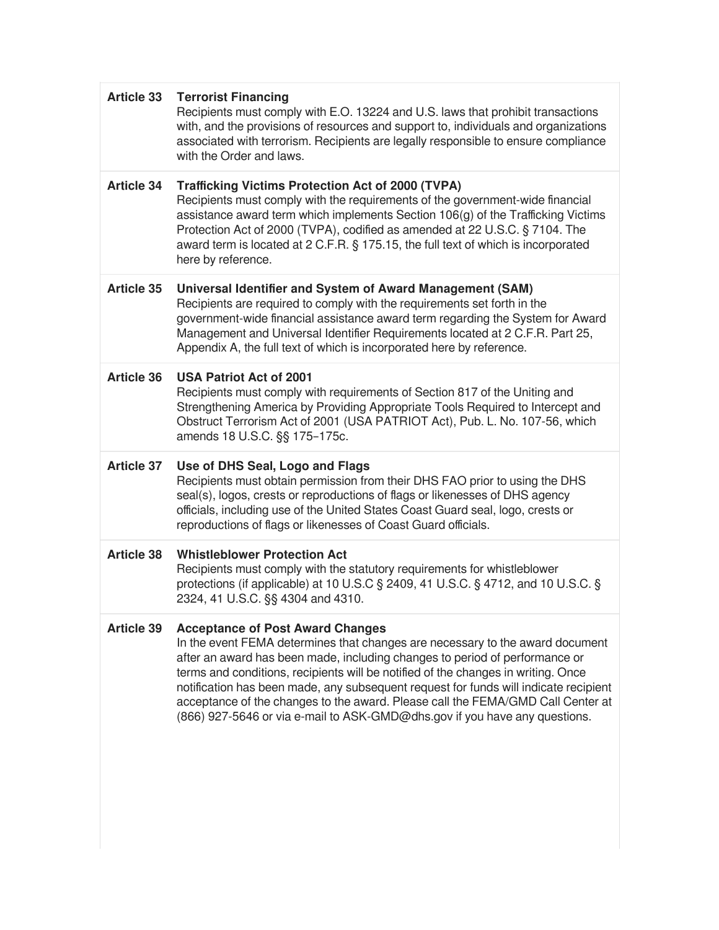| <b>Article 33</b> | <b>Terrorist Financing</b><br>Recipients must comply with E.O. 13224 and U.S. laws that prohibit transactions<br>with, and the provisions of resources and support to, individuals and organizations<br>associated with terrorism. Recipients are legally responsible to ensure compliance<br>with the Order and laws.                                                                                                                                                                                                                                |
|-------------------|-------------------------------------------------------------------------------------------------------------------------------------------------------------------------------------------------------------------------------------------------------------------------------------------------------------------------------------------------------------------------------------------------------------------------------------------------------------------------------------------------------------------------------------------------------|
| <b>Article 34</b> | <b>Trafficking Victims Protection Act of 2000 (TVPA)</b><br>Recipients must comply with the requirements of the government-wide financial<br>assistance award term which implements Section 106(g) of the Trafficking Victims<br>Protection Act of 2000 (TVPA), codified as amended at 22 U.S.C. § 7104. The<br>award term is located at 2 C.F.R. § 175.15, the full text of which is incorporated<br>here by reference.                                                                                                                              |
| <b>Article 35</b> | Universal Identifier and System of Award Management (SAM)<br>Recipients are required to comply with the requirements set forth in the<br>government-wide financial assistance award term regarding the System for Award<br>Management and Universal Identifier Requirements located at 2 C.F.R. Part 25,<br>Appendix A, the full text of which is incorporated here by reference.                                                                                                                                                                     |
| <b>Article 36</b> | <b>USA Patriot Act of 2001</b><br>Recipients must comply with requirements of Section 817 of the Uniting and<br>Strengthening America by Providing Appropriate Tools Required to Intercept and<br>Obstruct Terrorism Act of 2001 (USA PATRIOT Act), Pub. L. No. 107-56, which<br>amends 18 U.S.C. §§ 175-175c.                                                                                                                                                                                                                                        |
| <b>Article 37</b> | Use of DHS Seal, Logo and Flags<br>Recipients must obtain permission from their DHS FAO prior to using the DHS<br>seal(s), logos, crests or reproductions of flags or likenesses of DHS agency<br>officials, including use of the United States Coast Guard seal, logo, crests or<br>reproductions of flags or likenesses of Coast Guard officials.                                                                                                                                                                                                   |
| <b>Article 38</b> | <b>Whistleblower Protection Act</b><br>Recipients must comply with the statutory requirements for whistleblower<br>protections (if applicable) at 10 U.S.C § 2409, 41 U.S.C. § 4712, and 10 U.S.C. §<br>2324, 41 U.S.C. §§ 4304 and 4310.                                                                                                                                                                                                                                                                                                             |
| <b>Article 39</b> | <b>Acceptance of Post Award Changes</b><br>In the event FEMA determines that changes are necessary to the award document<br>after an award has been made, including changes to period of performance or<br>terms and conditions, recipients will be notified of the changes in writing. Once<br>notification has been made, any subsequent request for funds will indicate recipient<br>acceptance of the changes to the award. Please call the FEMA/GMD Call Center at<br>(866) 927-5646 or via e-mail to ASK-GMD@dhs.gov if you have any questions. |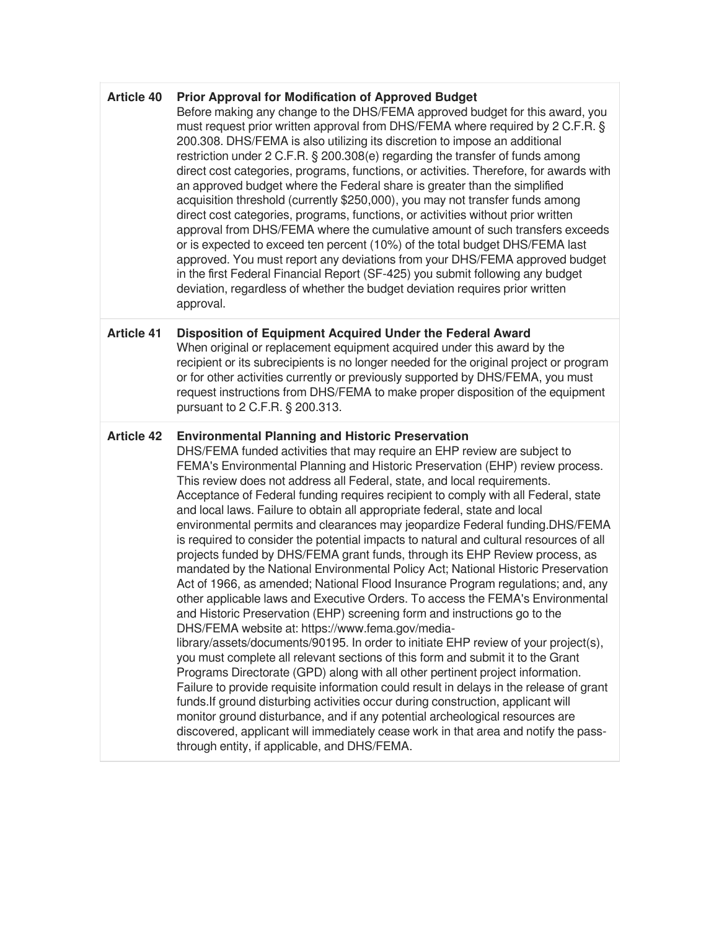| <b>Article 40</b> | <b>Prior Approval for Modification of Approved Budget</b> |  |
|-------------------|-----------------------------------------------------------|--|
|-------------------|-----------------------------------------------------------|--|

Before making any change to the DHS/FEMA approved budget for this award, you must request prior written approval from DHS/FEMA where required by 2 C.F.R. § 200.308. DHS/FEMA is also utilizing its discretion to impose an additional restriction under 2 C.F.R. § 200.308(e) regarding the transfer of funds among direct cost categories, programs, functions, or activities. Therefore, for awards with an approved budget where the Federal share is greater than the simplified acquisition threshold (currently \$250,000), you may not transfer funds among direct cost categories, programs, functions, or activities without prior written approval from DHS/FEMA where the cumulative amount of such transfers exceeds or is expected to exceed ten percent (10%) of the total budget DHS/FEMA last approved. You must report any deviations from your DHS/FEMA approved budget in the first Federal Financial Report (SF-425) you submit following any budget deviation, regardless of whether the budget deviation requires prior written approval.

#### **Article 41 Disposition of Equipment Acquired Under the Federal Award** When original or replacement equipment acquired under this award by the recipient or its subrecipients is no longer needed for the original project or program or for other activities currently or previously supported by DHS/FEMA, you must request instructions from DHS/FEMA to make proper disposition of the equipment pursuant to 2 C.F.R. § 200.313.

#### **Article 42 Environmental Planning and Historic Preservation**

through entity, if applicable, and DHS/FEMA.

DHS/FEMA funded activities that may require an EHP review are subject to FEMA's Environmental Planning and Historic Preservation (EHP) review process. This review does not address all Federal, state, and local requirements. Acceptance of Federal funding requires recipient to comply with all Federal, state and local laws. Failure to obtain all appropriate federal, state and local environmental permits and clearances may jeopardize Federal funding.DHS/FEMA is required to consider the potential impacts to natural and cultural resources of all projects funded by DHS/FEMA grant funds, through its EHP Review process, as mandated by the National Environmental Policy Act; National Historic Preservation Act of 1966, as amended; National Flood Insurance Program regulations; and, any other applicable laws and Executive Orders. To access the FEMA's Environmental and Historic Preservation (EHP) screening form and instructions go to the DHS/FEMA website at: https://www.fema.gov/medialibrary/assets/documents/90195. In order to initiate EHP review of your project(s), you must complete all relevant sections of this form and submit it to the Grant Programs Directorate (GPD) along with all other pertinent project information. Failure to provide requisite information could result in delays in the release of grant funds.If ground disturbing activities occur during construction, applicant will monitor ground disturbance, and if any potential archeological resources are discovered, applicant will immediately cease work in that area and notify the pass-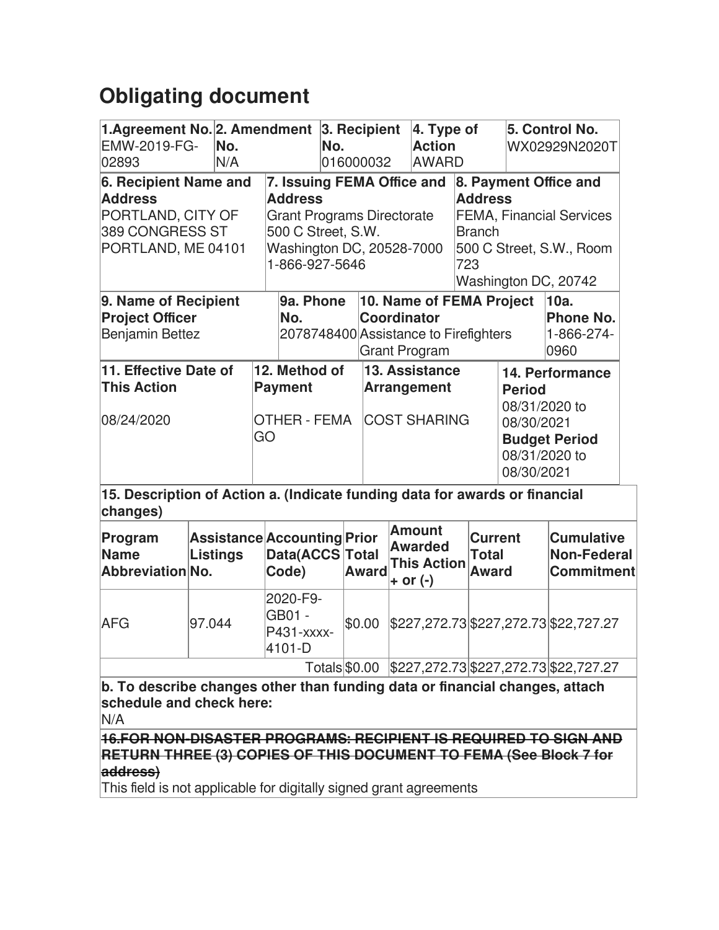# **Obligating document**

| 1.Agreement No. 2. Amendment<br>EMW-2019-FG-<br>02893                                                                                                   |        | No.<br>N/A      |    |                                                                                                                                                        | No. |  | 3. Recipient<br>016000032                                   |                                                                                                                                                        | $ 4.$ Type of<br><b>Action</b><br><b>AWARD</b>                                                                         |  |                                         |  | 5. Control No.<br>WX02929N2020T                              |  |
|---------------------------------------------------------------------------------------------------------------------------------------------------------|--------|-----------------|----|--------------------------------------------------------------------------------------------------------------------------------------------------------|-----|--|-------------------------------------------------------------|--------------------------------------------------------------------------------------------------------------------------------------------------------|------------------------------------------------------------------------------------------------------------------------|--|-----------------------------------------|--|--------------------------------------------------------------|--|
| 6. Recipient Name and<br><b>Address</b><br>PORTLAND, CITY OF<br>389 CONGRESS ST<br>PORTLAND, ME 04101                                                   |        |                 |    | 7. Issuing FEMA Office and<br><b>Address</b><br><b>Grant Programs Directorate</b><br>500 C Street, S.W.<br>Washington DC, 20528-7000<br>1-866-927-5646 |     |  |                                                             | 8. Payment Office and<br><b>Address</b><br><b>FEMA, Financial Services</b><br><b>Branch</b><br>500 C Street, S.W., Room<br>723<br>Washington DC, 20742 |                                                                                                                        |  |                                         |  |                                                              |  |
| 9. Name of Recipient<br><b>Project Officer</b><br>Benjamin Bettez                                                                                       |        |                 |    | 9a. Phone<br>No.                                                                                                                                       |     |  |                                                             |                                                                                                                                                        | 10. Name of FEMA Project<br><b>Coordinator</b><br>2078748400 Assistance to Firefighters<br><b>Grant Program</b>        |  |                                         |  | 10a.<br><b>Phone No.</b><br>1-866-274-<br>0960               |  |
| 11. Effective Date of<br><b>This Action</b><br>08/24/2020                                                                                               |        |                 | GO | 12. Method of<br><b>Payment</b><br>OTHER - FEMA                                                                                                        |     |  | 13. Assistance<br><b>Arrangement</b><br><b>COST SHARING</b> |                                                                                                                                                        | 14. Performance<br><b>Period</b><br>08/31/2020 to<br>08/30/2021<br><b>Budget Period</b><br>08/31/2020 to<br>08/30/2021 |  |                                         |  |                                                              |  |
| 15. Description of Action a. (Indicate funding data for awards or financial<br>changes)                                                                 |        |                 |    |                                                                                                                                                        |     |  |                                                             |                                                                                                                                                        |                                                                                                                        |  |                                         |  |                                                              |  |
| Program<br><b>Name</b><br>Abbreviation No.                                                                                                              |        | <b>Listings</b> |    | Assistance Accounting Prior<br>Data(ACCS Total<br>Code)                                                                                                |     |  | Award                                                       |                                                                                                                                                        | <b>Amount</b><br><b>Awarded</b><br><b>This Action</b><br>+ or (-)                                                      |  | <b>Current</b><br><b>Total</b><br>Award |  | <b>Cumulative</b><br><b>Non-Federal</b><br><b>Commitment</b> |  |
| AFG                                                                                                                                                     | 97.044 |                 |    | 2020-F9-<br>GB01 -<br>P431-xxxx-<br>4101-D                                                                                                             |     |  | \$0.00                                                      |                                                                                                                                                        |                                                                                                                        |  | \$227,272.73 \$227,272.73 \$22,727.27   |  |                                                              |  |
|                                                                                                                                                         |        |                 |    |                                                                                                                                                        |     |  |                                                             |                                                                                                                                                        |                                                                                                                        |  |                                         |  | Totals \$0.00 \$227,272.73 \$227,272.73 \$22,727.27          |  |
| b. To describe changes other than funding data or financial changes, attach<br>schedule and check here:<br>N/A                                          |        |                 |    |                                                                                                                                                        |     |  |                                                             |                                                                                                                                                        |                                                                                                                        |  |                                         |  |                                                              |  |
| 16.FOR NON-DISASTER PROGRAMS: RECIPIENT IS REQUIRED TO SIGN AND<br><b>RETURN THREE (3) COPIES OF THIS DOCUMENT TO FEMA (See Block 7 for</b><br>address) |        |                 |    |                                                                                                                                                        |     |  |                                                             |                                                                                                                                                        |                                                                                                                        |  |                                         |  |                                                              |  |

This field is not applicable for digitally signed grant agreements